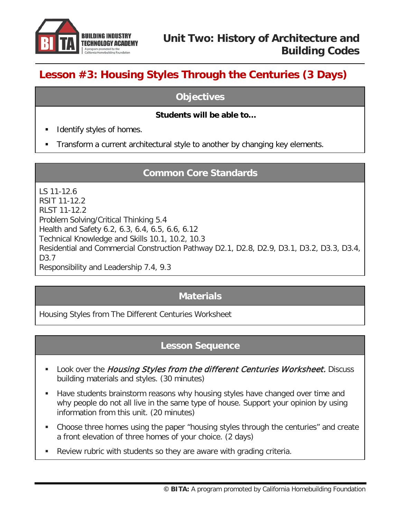

# **Lesson #3: Housing Styles Through the Centuries (3 Days)**

#### **Objectives**

#### **Students will be able to…**

- Identify styles of homes.
- Transform a current architectural style to another by changing key elements.

#### **Common Core Standards**

LS 11-12.6 RSIT 11-12.2 RLST 11-12.2 Problem Solving/Critical Thinking 5.4 Health and Safety 6.2, 6.3, 6.4, 6.5, 6.6, 6.12 Technical Knowledge and Skills 10.1, 10.2, 10.3 Residential and Commercial Construction Pathway D2.1, D2.8, D2.9, D3.1, D3.2, D3.3, D3.4, D3.7 Responsibility and Leadership 7.4, 9.3

### **Materials**

Housing Styles from The Different Centuries Worksheet

### **Lesson Sequence**

- **Look over the Housing Styles from the different Centuries Worksheet.** Discuss building materials and styles. (30 minutes)
- Have students brainstorm reasons why housing styles have changed over time and why people do not all live in the same type of house. Support your opinion by using information from this unit. (20 minutes)
- Choose three homes using the paper "housing styles through the centuries" and create a front elevation of three homes of your choice. (2 days)
- Review rubric with students so they are aware with grading criteria.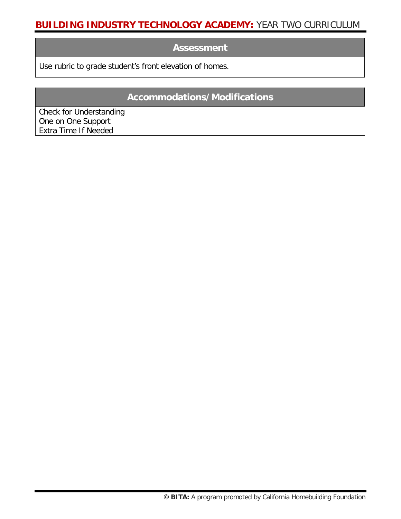#### **Assessment**

Use rubric to grade student's front elevation of homes.

### **Accommodations/Modifications**

Check for Understanding One on One Support Extra Time If Needed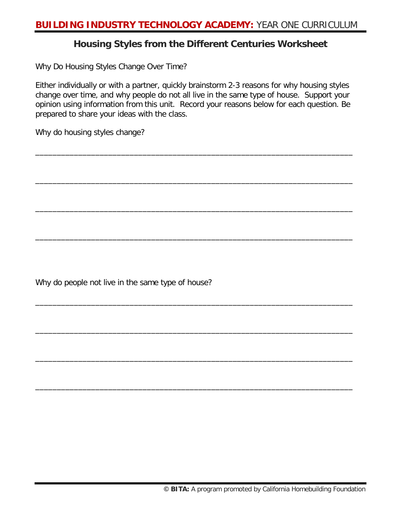#### **Housing Styles from the Different Centuries Worksheet**

Why Do Housing Styles Change Over Time?

Either individually or with a partner, quickly brainstorm 2-3 reasons for why housing styles change over time, and why people do not all live in the same type of house. Support your opinion using information from this unit. Record your reasons below for each question. Be prepared to share your ideas with the class.

\_\_\_\_\_\_\_\_\_\_\_\_\_\_\_\_\_\_\_\_\_\_\_\_\_\_\_\_\_\_\_\_\_\_\_\_\_\_\_\_\_\_\_\_\_\_\_\_\_\_\_\_\_\_\_\_\_\_\_\_\_\_\_\_\_\_\_\_\_\_\_\_\_\_

\_\_\_\_\_\_\_\_\_\_\_\_\_\_\_\_\_\_\_\_\_\_\_\_\_\_\_\_\_\_\_\_\_\_\_\_\_\_\_\_\_\_\_\_\_\_\_\_\_\_\_\_\_\_\_\_\_\_\_\_\_\_\_\_\_\_\_\_\_\_\_\_\_\_

\_\_\_\_\_\_\_\_\_\_\_\_\_\_\_\_\_\_\_\_\_\_\_\_\_\_\_\_\_\_\_\_\_\_\_\_\_\_\_\_\_\_\_\_\_\_\_\_\_\_\_\_\_\_\_\_\_\_\_\_\_\_\_\_\_\_\_\_\_\_\_\_\_\_

\_\_\_\_\_\_\_\_\_\_\_\_\_\_\_\_\_\_\_\_\_\_\_\_\_\_\_\_\_\_\_\_\_\_\_\_\_\_\_\_\_\_\_\_\_\_\_\_\_\_\_\_\_\_\_\_\_\_\_\_\_\_\_\_\_\_\_\_\_\_\_\_\_\_

\_\_\_\_\_\_\_\_\_\_\_\_\_\_\_\_\_\_\_\_\_\_\_\_\_\_\_\_\_\_\_\_\_\_\_\_\_\_\_\_\_\_\_\_\_\_\_\_\_\_\_\_\_\_\_\_\_\_\_\_\_\_\_\_\_\_\_\_\_\_\_\_\_\_

\_\_\_\_\_\_\_\_\_\_\_\_\_\_\_\_\_\_\_\_\_\_\_\_\_\_\_\_\_\_\_\_\_\_\_\_\_\_\_\_\_\_\_\_\_\_\_\_\_\_\_\_\_\_\_\_\_\_\_\_\_\_\_\_\_\_\_\_\_\_\_\_\_\_

\_\_\_\_\_\_\_\_\_\_\_\_\_\_\_\_\_\_\_\_\_\_\_\_\_\_\_\_\_\_\_\_\_\_\_\_\_\_\_\_\_\_\_\_\_\_\_\_\_\_\_\_\_\_\_\_\_\_\_\_\_\_\_\_\_\_\_\_\_\_\_\_\_\_

\_\_\_\_\_\_\_\_\_\_\_\_\_\_\_\_\_\_\_\_\_\_\_\_\_\_\_\_\_\_\_\_\_\_\_\_\_\_\_\_\_\_\_\_\_\_\_\_\_\_\_\_\_\_\_\_\_\_\_\_\_\_\_\_\_\_\_\_\_\_\_\_\_\_

Why do housing styles change?

Why do people not live in the same type of house?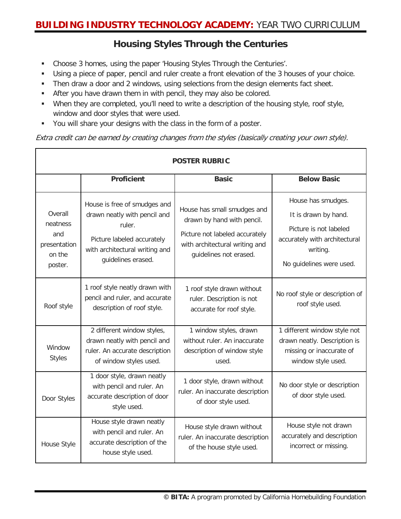### **Housing Styles Through the Centuries**

- Choose 3 homes, using the paper 'Housing Styles Through the Centuries'.
- Using a piece of paper, pencil and ruler create a front elevation of the 3 houses of your choice.
- Then draw a door and 2 windows, using selections from the design elements fact sheet.
- After you have drawn them in with pencil, they may also be colored.
- When they are completed, you'll need to write a description of the housing style, roof style, window and door styles that were used.
- You will share your designs with the class in the form of a poster.

Extra credit can be earned by creating changes from the styles (basically creating your own style).

| <b>POSTER RUBRIC</b>                                            |                                                                                                                                                              |                                                                                                                                                         |                                                                                                                                               |
|-----------------------------------------------------------------|--------------------------------------------------------------------------------------------------------------------------------------------------------------|---------------------------------------------------------------------------------------------------------------------------------------------------------|-----------------------------------------------------------------------------------------------------------------------------------------------|
|                                                                 | <b>Proficient</b>                                                                                                                                            | <b>Basic</b>                                                                                                                                            | <b>Below Basic</b>                                                                                                                            |
| Overall<br>neatness<br>and<br>presentation<br>on the<br>poster. | House is free of smudges and<br>drawn neatly with pencil and<br>ruler.<br>Picture labeled accurately<br>with architectural writing and<br>guidelines erased. | House has small smudges and<br>drawn by hand with pencil.<br>Picture not labeled accurately<br>with architectural writing and<br>guidelines not erased. | House has smudges.<br>It is drawn by hand.<br>Picture is not labeled<br>accurately with architectural<br>writing.<br>No guidelines were used. |
| Roof style                                                      | 1 roof style neatly drawn with<br>pencil and ruler, and accurate<br>description of roof style.                                                               | 1 roof style drawn without<br>ruler. Description is not<br>accurate for roof style.                                                                     | No roof style or description of<br>roof style used.                                                                                           |
| Window<br><b>Styles</b>                                         | 2 different window styles,<br>drawn neatly with pencil and<br>ruler. An accurate description<br>of window styles used.                                       | 1 window styles, drawn<br>without ruler. An inaccurate<br>description of window style<br>used.                                                          | 1 different window style not<br>drawn neatly. Description is<br>missing or inaccurate of<br>window style used.                                |
| Door Styles                                                     | 1 door style, drawn neatly<br>with pencil and ruler. An<br>accurate description of door<br>style used.                                                       | 1 door style, drawn without<br>ruler. An inaccurate description<br>of door style used.                                                                  | No door style or description<br>of door style used.                                                                                           |
| House Style                                                     | House style drawn neatly<br>with pencil and ruler. An<br>accurate description of the<br>house style used.                                                    | House style drawn without<br>ruler. An inaccurate description<br>of the house style used.                                                               | House style not drawn<br>accurately and description<br>incorrect or missing.                                                                  |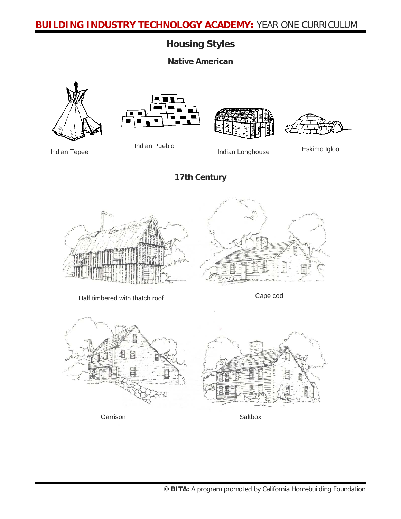### **Housing Styles**

**Native American**





Half timbered with thatch roof Cape cod



Garrison **Saltbox**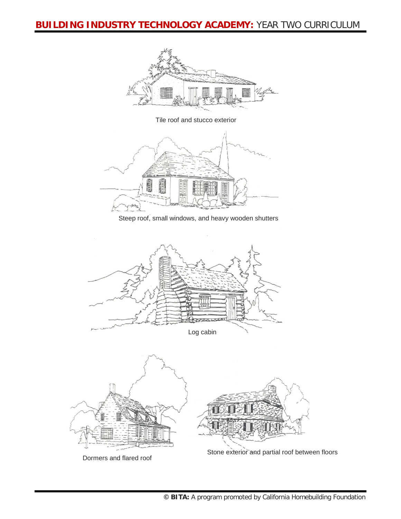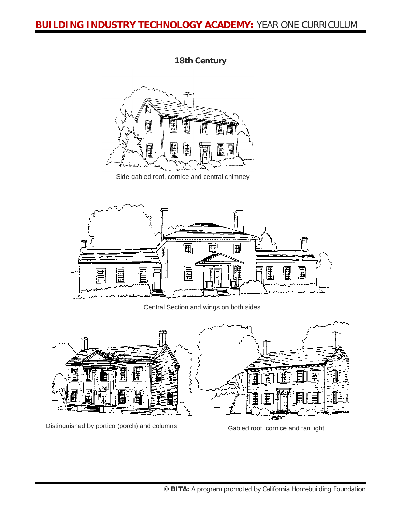**18th Century**



Side-gabled roof, cornice and central chimney



Central Section and wings on both sides



Distinguished by portico (porch) and columns Gabled roof, cornice and fan light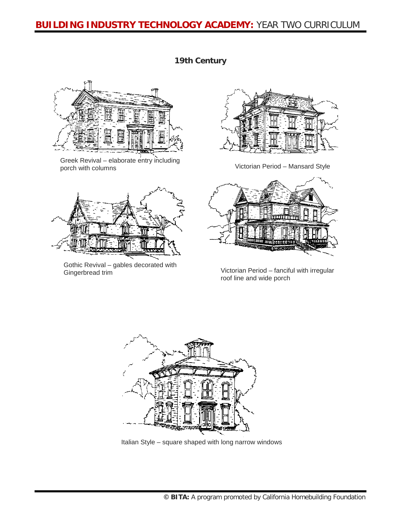**19th Century**



Greek Revival – elaborate entry including porch with columns



Gothic Revival – gables decorated with Gingerbread trim



Victorian Period – Mansard Style



Victorian Period – fanciful with irregular roof line and wide porch



Italian Style – square shaped with long narrow windows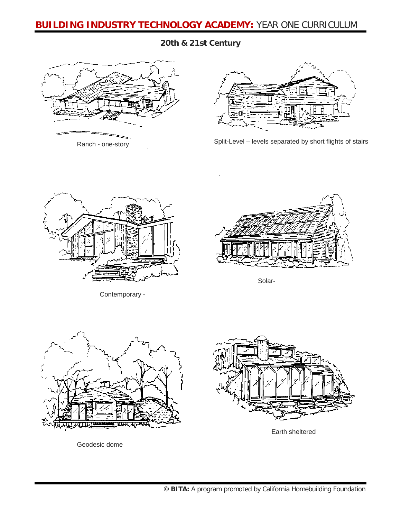**20th & 21st Century**





Split-Level – levels separated by short flights of stairs Ranch - one-story



Contemporary -



Solar-



Geodesic dome



Earth sheltered